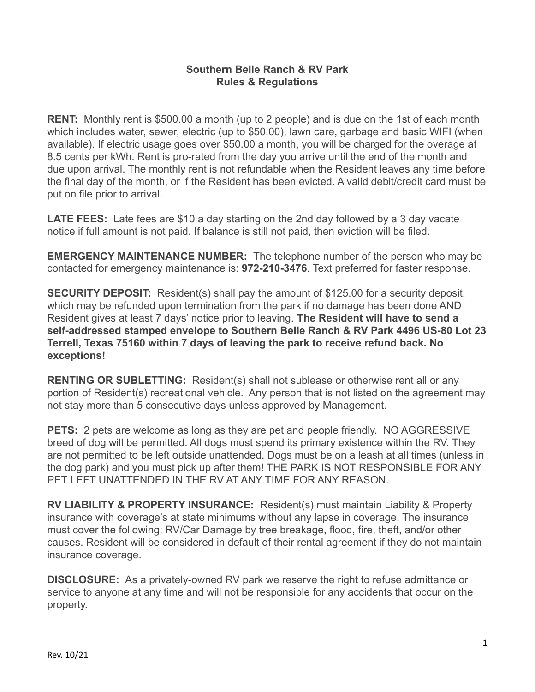## **Southern Belle Ranch & RV Park Rules & Regulations**

**RENT:** Monthly rent is \$500.00 a month (up to 2 people) and is due on the 1st of each month which includes water, sewer, electric (up to \$50.00), lawn care, garbage and basic WIFI (when available). If electric usage goes over \$50.00 a month, you will be charged for the overage at 8.5 cents per kWh. Rent is pro-rated from the day you arrive until the end of the month and due upon arrival. The monthly rent is not refundable when the Resident leaves any time before the final day of the month, or if the Resident has been evicted. A valid debit/credit card must be put on file prior to arrival.

**LATE FEES:** Late fees are \$10 a day starting on the 2nd day followed by a 3 day vacate notice if full amount is not paid. If balance is still not paid, then eviction will be filed.

**EMERGENCY MAINTENANCE NUMBER:** The telephone number of the person who may be contacted for emergency maintenance is: **972-210-3476**. Text preferred for faster response.

**SECURITY DEPOSIT:** Resident(s) shall pay the amount of \$125.00 for a security deposit, which may be refunded upon termination from the park if no damage has been done AND Resident gives at least 7 days' notice prior to leaving. **The Resident will have to send a self-addressed stamped envelope to Southern Belle Ranch & RV Park 4496 US-80 Lot 23 Terrell, Texas 75160 within 7 days of leaving the park to receive refund back. No exceptions!**

**RENTING OR SUBLETTING:** Resident(s) shall not sublease or otherwise rent all or any portion of Resident(s) recreational vehicle. Any person that is not listed on the agreement may not stay more than 5 consecutive days unless approved by Management.

**PETS:** 2 pets are welcome as long as they are pet and people friendly. NO AGGRESSIVE breed of dog will be permitted. All dogs must spend its primary existence within the RV. They are not permitted to be left outside unattended. Dogs must be on a leash at all times (unless in the dog park) and you must pick up after them! THE PARK IS NOT RESPONSIBLE FOR ANY PET LEFT UNATTENDED IN THE RV AT ANY TIME FOR ANY REASON.

**RV LIABILITY & PROPERTY INSURANCE:** Resident(s) must maintain Liability & Property insurance with coverage's at state minimums without any lapse in coverage. The insurance must cover the following: RV/Car Damage by tree breakage, flood, fire, theft, and/or other causes. Resident will be considered in default of their rental agreement if they do not maintain insurance coverage.

**DISCLOSURE:** As a privately-owned RV park we reserve the right to refuse admittance or service to anyone at any time and will not be responsible for any accidents that occur on the property.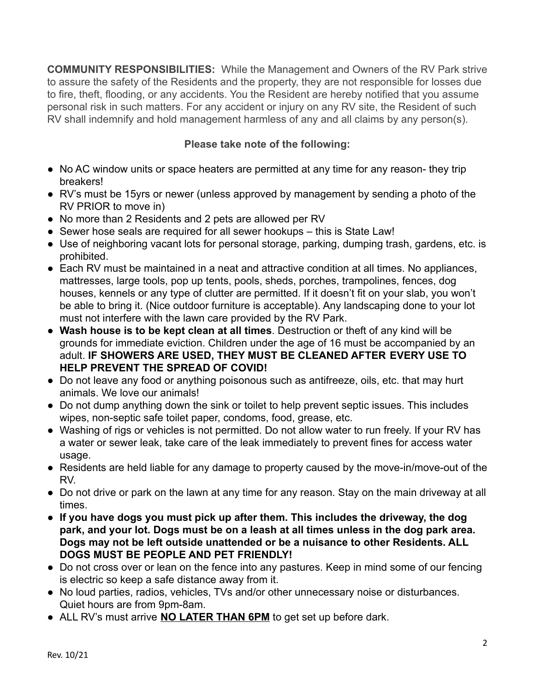**COMMUNITY RESPONSIBILITIES:** While the Management and Owners of the RV Park strive to assure the safety of the Residents and the property, they are not responsible for losses due to fire, theft, flooding, or any accidents. You the Resident are hereby notified that you assume personal risk in such matters. For any accident or injury on any RV site, the Resident of such RV shall indemnify and hold management harmless of any and all claims by any person(s).

## **Please take note of the following:**

- No AC window units or space heaters are permitted at any time for any reason- they trip breakers!
- RV's must be 15yrs or newer (unless approved by management by sending a photo of the RV PRIOR to move in)
- No more than 2 Residents and 2 pets are allowed per RV
- Sewer hose seals are required for all sewer hookups this is State Law!
- Use of neighboring vacant lots for personal storage, parking, dumping trash, gardens, etc. is prohibited.
- Each RV must be maintained in a neat and attractive condition at all times. No appliances, mattresses, large tools, pop up tents, pools, sheds, porches, trampolines, fences, dog houses, kennels or any type of clutter are permitted. If it doesn't fit on your slab, you won't be able to bring it. (Nice outdoor furniture is acceptable). Any landscaping done to your lot must not interfere with the lawn care provided by the RV Park.
- **Wash house is to be kept clean at all times**. Destruction or theft of any kind will be grounds for immediate eviction. Children under the age of 16 must be accompanied by an adult. **IF SHOWERS ARE USED, THEY MUST BE CLEANED AFTER EVERY USE TO HELP PREVENT THE SPREAD OF COVID!**
- Do not leave any food or anything poisonous such as antifreeze, oils, etc. that may hurt animals. We love our animals!
- Do not dump anything down the sink or toilet to help prevent septic issues. This includes wipes, non-septic safe toilet paper, condoms, food, grease, etc.
- Washing of rigs or vehicles is not permitted. Do not allow water to run freely. If your RV has a water or sewer leak, take care of the leak immediately to prevent fines for access water usage.
- Residents are held liable for any damage to property caused by the move-in/move-out of the RV.
- Do not drive or park on the lawn at any time for any reason. Stay on the main driveway at all times.
- **● If you have dogs you must pick up after them. This includes the driveway, the dog park, and your lot. Dogs must be on a leash at all times unless in the dog park area. Dogs may not be left outside unattended or be a nuisance to other Residents. ALL DOGS MUST BE PEOPLE AND PET FRIENDLY!**
- Do not cross over or lean on the fence into any pastures. Keep in mind some of our fencing is electric so keep a safe distance away from it.
- No loud parties, radios, vehicles, TVs and/or other unnecessary noise or disturbances. Quiet hours are from 9pm-8am.
- ALL RV's must arrive **NO LATER THAN 6PM** to get set up before dark.